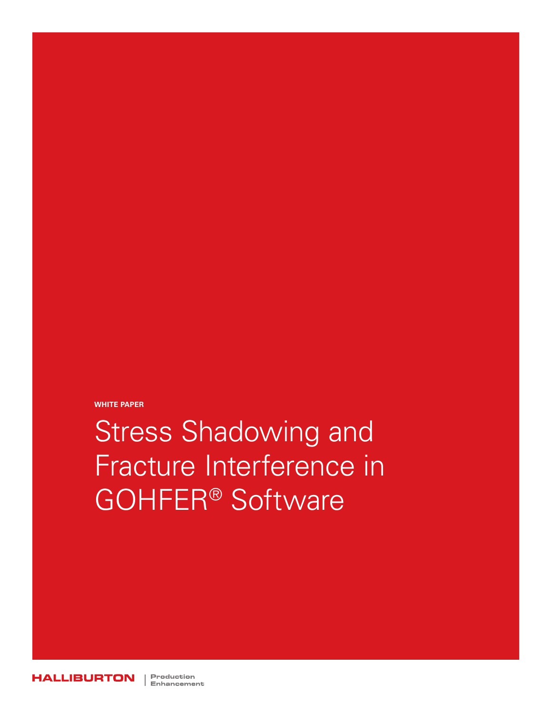**WHITE PAPER**

Stress Shadowing and Fracture Interference in GOHFER® Software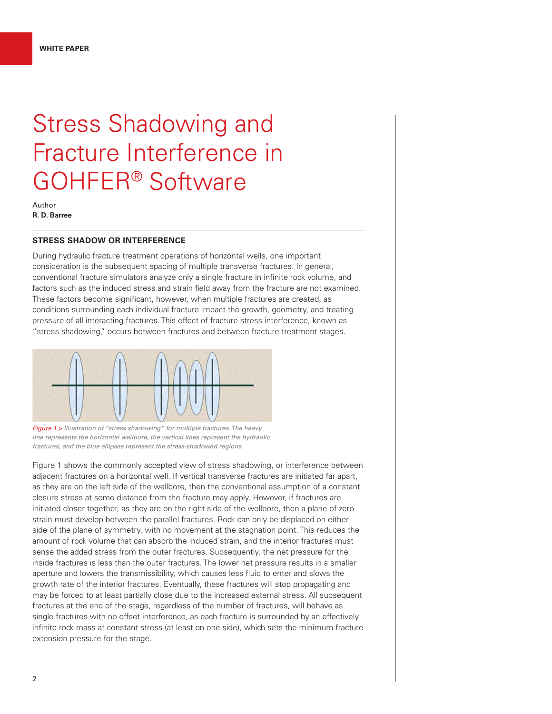# Stress Shadowing and Fracture Interference in GOHFER® Software

Author **R. D. Barree**

# **STRESS SHADOW OR INTERFERENCE**

During hydraulic fracture treatment operations of horizontal wells, one important consideration is the subsequent spacing of multiple transverse fractures. In general, conventional fracture simulators analyze only a single fracture in infinite rock volume, and factors such as the induced stress and strain field away from the fracture are not examined. These factors become significant, however, when multiple fractures are created, as conditions surrounding each individual fracture impact the growth, geometry, and treating pressure of all interacting fractures. This effect of fracture stress interference, known as "stress shadowing," occurs between fractures and between fracture treatment stages.



*Figure 1 > Illustration of "stress shadowing" for multiple fractures. The heavy line represents the horizontal wellbore, the vertical lines represent the hydraulic fractures, and the blue ellipses represent the stress-shadowed regions.*

Figure 1 shows the commonly accepted view of stress shadowing, or interference between adjacent fractures on a horizontal well. If vertical transverse fractures are initiated far apart, as they are on the left side of the wellbore, then the conventional assumption of a constant closure stress at some distance from the fracture may apply. However, if fractures are initiated closer together, as they are on the right side of the wellbore, then a plane of zero strain must develop between the parallel fractures. Rock can only be displaced on either side of the plane of symmetry, with no movement at the stagnation point. This reduces the amount of rock volume that can absorb the induced strain, and the interior fractures must sense the added stress from the outer fractures. Subsequently, the net pressure for the inside fractures is less than the outer fractures. The lower net pressure results in a smaller aperture and lowers the transmissibility, which causes less fluid to enter and slows the growth rate of the interior fractures. Eventually, these fractures will stop propagating and may be forced to at least partially close due to the increased external stress. All subsequent fractures at the end of the stage, regardless of the number of fractures, will behave as single fractures with no offset interference, as each fracture is surrounded by an effectively infinite rock mass at constant stress (at least on one side), which sets the minimum fracture extension pressure for the stage.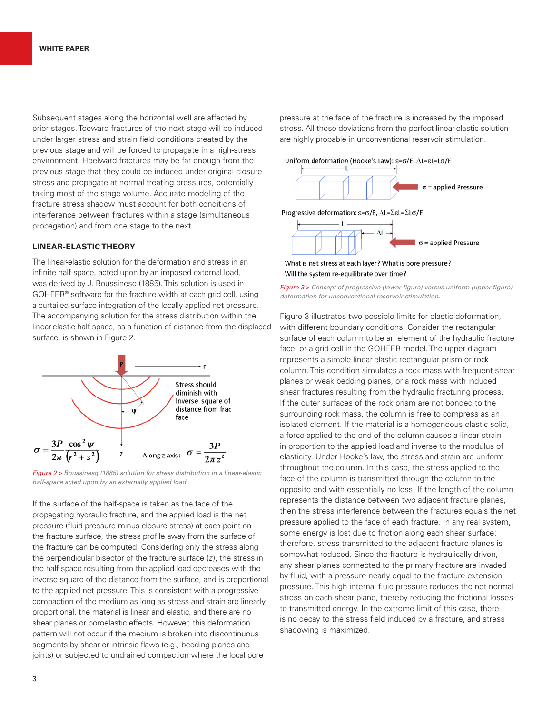Subsequent stages along the horizontal well are affected by prior stages. Toeward fractures of the next stage will be induced under larger stress and strain field conditions created by the previous stage and will be forced to propagate in a high-stress environment. Heelward fractures may be far enough from the previous stage that they could be induced under original closure stress and propagate at normal treating pressures, potentially taking most of the stage volume. Accurate modeling of the fracture stress shadow must account for both conditions of interference between fractures within a stage (simultaneous propagation) and from one stage to the next.

#### **LINEAR-ELASTIC THEORY**

The linear-elastic solution for the deformation and stress in an infinite half-space, acted upon by an imposed external load, was derived by J. Boussinesq (1885). This solution is used in GOHFER® software for the fracture width at each grid cell, using a curtailed surface integration of the locally applied net pressure. The accompanying solution for the stress distribution within the linear-elastic half-space, as a function of distance from the displaced surface, is shown in Figure 2.



*Figure 2 > Boussinesq (1885) solution for stress distribution in a linear-elastic half-space acted upon by an externally applied load.*

If the surface of the half-space is taken as the face of the propagating hydraulic fracture, and the applied load is the net pressure (fluid pressure minus closure stress) at each point on the fracture surface, the stress profile away from the surface of the fracture can be computed. Considering only the stress along the perpendicular bisector of the fracture surface (*z*), the stress in the half-space resulting from the applied load decreases with the inverse square of the distance from the surface, and is proportional to the applied net pressure. This is consistent with a progressive compaction of the medium as long as stress and strain are linearly proportional, the material is linear and elastic, and there are no shear planes or poroelastic effects. However, this deformation pattern will not occur if the medium is broken into discontinuous segments by shear or intrinsic flaws (e.g., bedding planes and joints) or subjected to undrained compaction where the local pore

pressure at the face of the fracture is increased by the imposed stress. All these deviations from the perfect linear-elastic solution are highly probable in unconventional reservoir stimulation.





What is net stress at each layer? What is pore pressure? Will the system re-equilibrate over time?

*Figure 3 > Concept of progressive (lower figure) versus uniform (upper figure) deformation for unconventional reservoir stimulation.*

Figure 3 illustrates two possible limits for elastic deformation, with different boundary conditions. Consider the rectangular surface of each column to be an element of the hydraulic fracture face, or a grid cell in the GOHFER model. The upper diagram represents a simple linear-elastic rectangular prism or rock column. This condition simulates a rock mass with frequent shear planes or weak bedding planes, or a rock mass with induced shear fractures resulting from the hydraulic fracturing process. If the outer surfaces of the rock prism are not bonded to the surrounding rock mass, the column is free to compress as an isolated element. If the material is a homogeneous elastic solid, a force applied to the end of the column causes a linear strain in proportion to the applied load and inverse to the modulus of elasticity. Under Hooke's law, the stress and strain are uniform throughout the column. In this case, the stress applied to the face of the column is transmitted through the column to the opposite end with essentially no loss. If the length of the column represents the distance between two adjacent fracture planes, then the stress interference between the fractures equals the net pressure applied to the face of each fracture. In any real system, some energy is lost due to friction along each shear surface; therefore, stress transmitted to the adjacent fracture planes is somewhat reduced. Since the fracture is hydraulically driven, any shear planes connected to the primary fracture are invaded by fluid, with a pressure nearly equal to the fracture extension pressure. This high internal fluid pressure reduces the net normal stress on each shear plane, thereby reducing the frictional losses to transmitted energy. In the extreme limit of this case, there is no decay to the stress field induced by a fracture, and stress shadowing is maximized.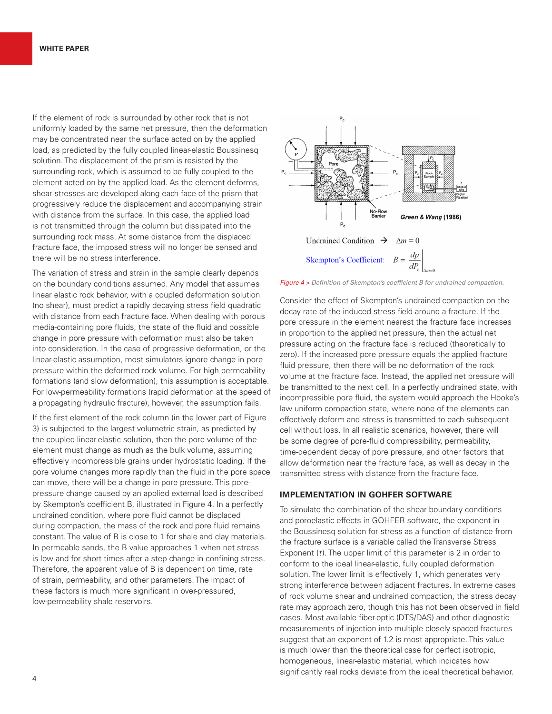If the element of rock is surrounded by other rock that is not uniformly loaded by the same net pressure, then the deformation may be concentrated near the surface acted on by the applied load, as predicted by the fully coupled linear-elastic Boussinesq solution. The displacement of the prism is resisted by the surrounding rock, which is assumed to be fully coupled to the element acted on by the applied load. As the element deforms, shear stresses are developed along each face of the prism that progressively reduce the displacement and accompanying strain with distance from the surface. In this case, the applied load is not transmitted through the column but dissipated into the surrounding rock mass. At some distance from the displaced fracture face, the imposed stress will no longer be sensed and there will be no stress interference.

The variation of stress and strain in the sample clearly depends on the boundary conditions assumed. Any model that assumes linear elastic rock behavior, with a coupled deformation solution (no shear), must predict a rapidly decaying stress field quadratic with distance from each fracture face. When dealing with porous media-containing pore fluids, the state of the fluid and possible change in pore pressure with deformation must also be taken into consideration. In the case of progressive deformation, or the linear-elastic assumption, most simulators ignore change in pore pressure within the deformed rock volume. For high-permeability formations (and slow deformation), this assumption is acceptable. For low-permeability formations (rapid deformation at the speed of a propagating hydraulic fracture), however, the assumption fails.

If the first element of the rock column (in the lower part of Figure 3) is subjected to the largest volumetric strain, as predicted by the coupled linear-elastic solution, then the pore volume of the element must change as much as the bulk volume, assuming effectively incompressible grains under hydrostatic loading. If the pore volume changes more rapidly than the fluid in the pore space can move, there will be a change in pore pressure. This porepressure change caused by an applied external load is described by Skempton's coefficient B, illustrated in Figure 4. In a perfectly undrained condition, where pore fluid cannot be displaced during compaction, the mass of the rock and pore fluid remains constant. The value of B is close to 1 for shale and clay materials. In permeable sands, the B value approaches 1 when net stress is low and for short times after a step change in confining stress. Therefore, the apparent value of B is dependent on time, rate of strain, permeability, and other parameters. The impact of these factors is much more significant in over-pressured, low-permeability shale reservoirs.



*Figure 4 > Definition of Skempton's coefficient B for undrained compaction.*

Consider the effect of Skempton's undrained compaction on the decay rate of the induced stress field around a fracture. If the pore pressure in the element nearest the fracture face increases in proportion to the applied net pressure, then the actual net pressure acting on the fracture face is reduced (theoretically to zero). If the increased pore pressure equals the applied fracture fluid pressure, then there will be no deformation of the rock volume at the fracture face. Instead, the applied net pressure will be transmitted to the next cell. In a perfectly undrained state, with incompressible pore fluid, the system would approach the Hooke's law uniform compaction state, where none of the elements can effectively deform and stress is transmitted to each subsequent cell without loss. In all realistic scenarios, however, there will be some degree of pore-fluid compressibility, permeability, time-dependent decay of pore pressure, and other factors that allow deformation near the fracture face, as well as decay in the transmitted stress with distance from the fracture face.

#### **IMPLEMENTATION IN GOHFER SOFTWARE**

To simulate the combination of the shear boundary conditions and poroelastic effects in GOHFER software, the exponent in the Boussinesq solution for stress as a function of distance from the fracture surface is a variable called the Transverse Stress Exponent (*t*). The upper limit of this parameter is 2 in order to conform to the ideal linear-elastic, fully coupled deformation solution. The lower limit is effectively 1, which generates very strong interference between adjacent fractures. In extreme cases of rock volume shear and undrained compaction, the stress decay rate may approach zero, though this has not been observed in field cases. Most available fiber-optic (DTS/DAS) and other diagnostic measurements of injection into multiple closely spaced fractures suggest that an exponent of 1.2 is most appropriate. This value is much lower than the theoretical case for perfect isotropic, homogeneous, linear-elastic material, which indicates how significantly real rocks deviate from the ideal theoretical behavior.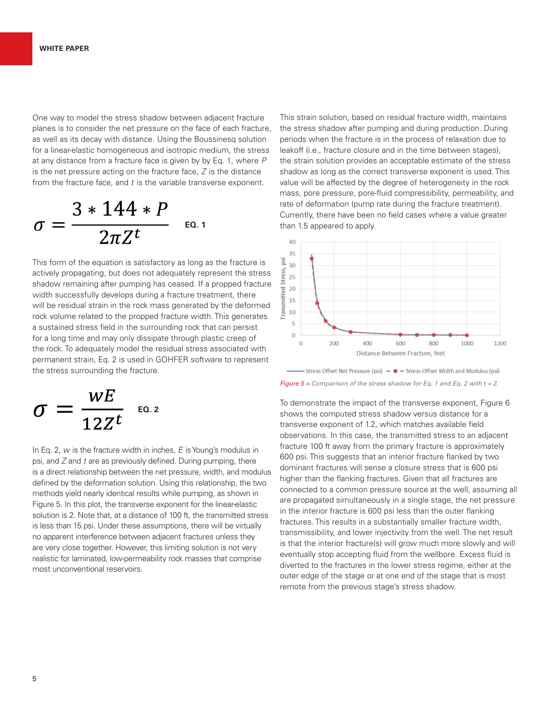One way to model the stress shadow between adjacent fracture planes is to consider the net pressure on the face of each fracture, as well as its decay with distance. Using the Boussinesq solution for a linear-elastic homogeneous and isotropic medium, the stress at any distance from a fracture face is given by by Eq. 1, where *P* is the net pressure acting on the fracture face, *Z* is the distance from the fracture face, and *t* is the variable transverse exponent.

$$
\sigma = \frac{3*144*P}{2\pi Z^t} \quad \text{Eq. 1}
$$

This form of the equation is satisfactory as long as the fracture is actively propagating, but does not adequately represent the stress shadow remaining after pumping has ceased. If a propped fracture width successfully develops during a fracture treatment, there will be residual strain in the rock mass generated by the deformed rock volume related to the propped fracture width. This generates a sustained stress field in the surrounding rock that can persist for a long time and may only dissipate through plastic creep of the rock. To adequately model the residual stress associated with permanent strain, Eq. 2 is used in GOHFER software to represent the stress surrounding the fracture.

$$
\sigma = \frac{wE}{12Z^t} \quad \text{for } t \ge 2
$$

In Eq. 2, *w* is the fracture width in inches, *E* is Young's modulus in psi, and *Z* and *t* are as previously defined. During pumping, there is a direct relationship between the net pressure, width, and modulus defined by the deformation solution. Using this relationship, the two methods yield nearly identical results while pumping, as shown in Figure 5. In this plot, the transverse exponent for the linear-elastic solution is 2. Note that, at a distance of 100 ft, the transmitted stress is less than 15 psi. Under these assumptions, there will be virtually no apparent interference between adjacent fractures unless they are very close together. However, this limiting solution is not very realistic for laminated, low-permeability rock masses that comprise most unconventional reservoirs.

This strain solution, based on residual fracture width, maintains the stress shadow after pumping and during production. During periods when the fracture is in the process of relaxation due to leakoff (i.e., fracture closure and in the time between stages), the strain solution provides an acceptable estimate of the stress shadow as long as the correct transverse exponent is used. This value will be affected by the degree of heterogeneity in the rock mass, pore pressure, pore-fluid compressibility, permeability, and rate of deformation (pump rate during the fracture treatment). Currently, there have been no field cases where a value greater than 1.5 appeared to apply.



- Stress Offset Net Pressure (psi) -  $\bullet$  - Stress Offset Width and Modulus (psi) *Figure 5 > Comparison of the stress shadow for Eq. 1 and Eq. 2 with* t *= 2.*

To demonstrate the impact of the transverse exponent, Figure 6 shows the computed stress shadow versus distance for a transverse exponent of 1.2, which matches available field observations. In this case, the transmitted stress to an adjacent fracture 100 ft away from the primary fracture is approximately 600 psi. This suggests that an interior fracture flanked by two dominant fractures will sense a closure stress that is 600 psi higher than the flanking fractures. Given that all fractures are connected to a common pressure source at the well, assuming all are propagated simultaneously in a single stage, the net pressure in the interior fracture is 600 psi less than the outer flanking fractures. This results in a substantially smaller fracture width, transmissibility, and lower injectivity from the well. The net result is that the interior fracture(s) will grow much more slowly and will eventually stop accepting fluid from the wellbore. Excess fluid is diverted to the fractures in the lower stress regime, either at the outer edge of the stage or at one end of the stage that is most remote from the previous stage's stress shadow.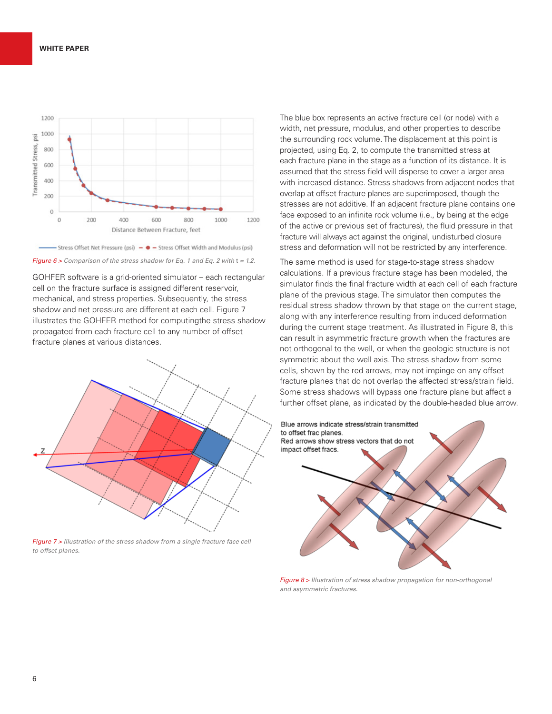

#### *Figure 6 > Comparison of the stress shadow for Eq. 1 and Eq. 2 with t = 1.2.*

GOHFER software is a grid-oriented simulator – each rectangular cell on the fracture surface is assigned different reservoir, mechanical, and stress properties. Subsequently, the stress shadow and net pressure are different at each cell. Figure 7 illustrates the GOHFER method for computingthe stress shadow propagated from each fracture cell to any number of offset fracture planes at various distances.



*Figure 7 > Illustration of the stress shadow from a single fracture face cell to offset planes.*

The blue box represents an active fracture cell (or node) with a width, net pressure, modulus, and other properties to describe the surrounding rock volume. The displacement at this point is projected, using Eq. 2, to compute the transmitted stress at each fracture plane in the stage as a function of its distance. It is assumed that the stress field will disperse to cover a larger area with increased distance. Stress shadows from adjacent nodes that overlap at offset fracture planes are superimposed, though the stresses are not additive. If an adjacent fracture plane contains one face exposed to an infinite rock volume (i.e., by being at the edge of the active or previous set of fractures), the fluid pressure in that fracture will always act against the original, undisturbed closure stress and deformation will not be restricted by any interference.

The same method is used for stage-to-stage stress shadow calculations. If a previous fracture stage has been modeled, the simulator finds the final fracture width at each cell of each fracture plane of the previous stage. The simulator then computes the residual stress shadow thrown by that stage on the current stage, along with any interference resulting from induced deformation during the current stage treatment. As illustrated in Figure 8, this can result in asymmetric fracture growth when the fractures are not orthogonal to the well, or when the geologic structure is not symmetric about the well axis. The stress shadow from some cells, shown by the red arrows, may not impinge on any offset fracture planes that do not overlap the affected stress/strain field. Some stress shadows will bypass one fracture plane but affect a further offset plane, as indicated by the double-headed blue arrow.



*Figure 8 > Illustration of stress shadow propagation for non-orthogonal and asymmetric fractures.*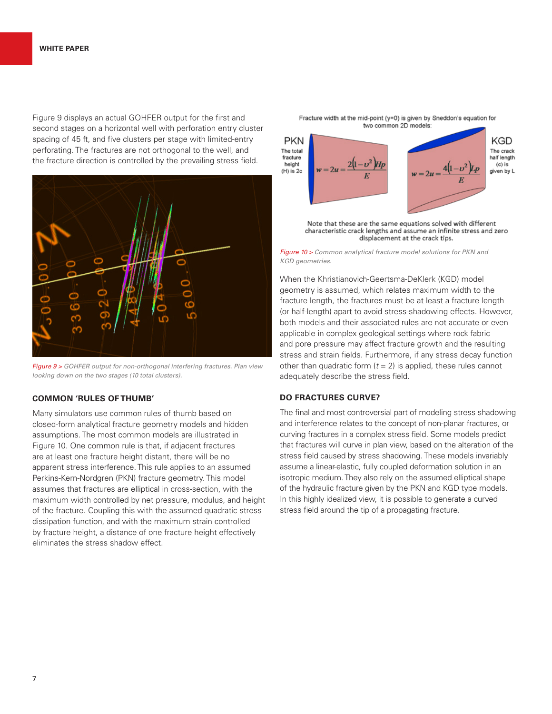Figure 9 displays an actual GOHFER output for the first and second stages on a horizontal well with perforation entry cluster spacing of 45 ft, and five clusters per stage with limited-entry perforating. The fractures are not orthogonal to the well, and the fracture direction is controlled by the prevailing stress field.



*Figure 9 > GOHFER output for non-orthogonal interfering fractures. Plan view looking down on the two stages (10 total clusters).*

#### **COMMON 'RULES OF THUMB'**

Many simulators use common rules of thumb based on closed-form analytical fracture geometry models and hidden assumptions. The most common models are illustrated in Figure 10. One common rule is that, if adjacent fractures are at least one fracture height distant, there will be no apparent stress interference. This rule applies to an assumed Perkins-Kern-Nordgren (PKN) fracture geometry. This model assumes that fractures are elliptical in cross-section, with the maximum width controlled by net pressure, modulus, and height of the fracture. Coupling this with the assumed quadratic stress dissipation function, and with the maximum strain controlled by fracture height, a distance of one fracture height effectively eliminates the stress shadow effect.



characteristic crack lengths and assume an infinite stress and zero displacement at the crack tips.

*Figure 10 > Common analytical fracture model solutions for PKN and KGD geometries.*

When the Khristianovich-Geertsma-DeKlerk (KGD) model geometry is assumed, which relates maximum width to the fracture length, the fractures must be at least a fracture length (or half-length) apart to avoid stress-shadowing effects. However, both models and their associated rules are not accurate or even applicable in complex geological settings where rock fabric and pore pressure may affect fracture growth and the resulting stress and strain fields. Furthermore, if any stress decay function other than quadratic form  $(t = 2)$  is applied, these rules cannot adequately describe the stress field.

## **DO FRACTURES CURVE?**

The final and most controversial part of modeling stress shadowing and interference relates to the concept of non-planar fractures, or curving fractures in a complex stress field. Some models predict that fractures will curve in plan view, based on the alteration of the stress field caused by stress shadowing. These models invariably assume a linear-elastic, fully coupled deformation solution in an isotropic medium. They also rely on the assumed elliptical shape of the hydraulic fracture given by the PKN and KGD type models. In this highly idealized view, it is possible to generate a curved stress field around the tip of a propagating fracture.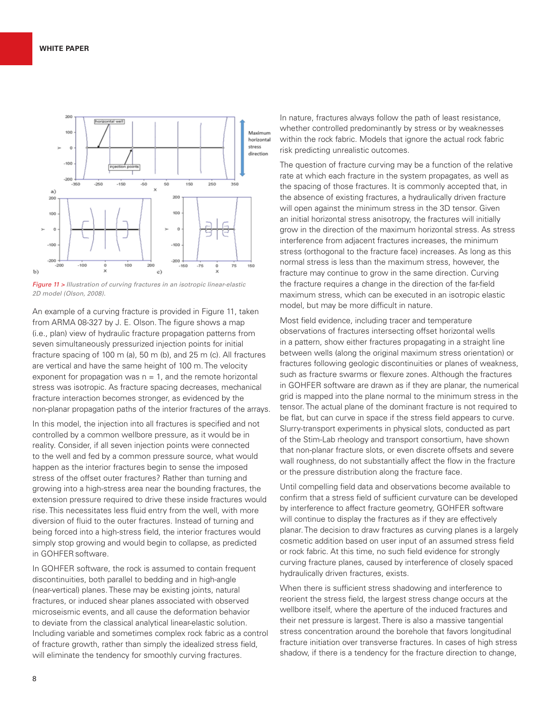

*Figure 11 > Illustration of curving fractures in an isotropic linear-elastic 2D model (Olson, 2008).*

An example of a curving fracture is provided in Figure 11, taken from ARMA 08-327 by J. E. Olson. The figure shows a map (i.e., plan) view of hydraulic fracture propagation patterns from seven simultaneously pressurized injection points for initial fracture spacing of 100 m (a), 50 m (b), and 25 m (c). All fractures are vertical and have the same height of 100 m. The velocity exponent for propagation was  $n = 1$ , and the remote horizontal stress was isotropic. As fracture spacing decreases, mechanical fracture interaction becomes stronger, as evidenced by the non-planar propagation paths of the interior fractures of the arrays.

In this model, the injection into all fractures is specified and not controlled by a common wellbore pressure, as it would be in reality. Consider, if all seven injection points were connected to the well and fed by a common pressure source, what would happen as the interior fractures begin to sense the imposed stress of the offset outer fractures? Rather than turning and growing into a high-stress area near the bounding fractures, the extension pressure required to drive these inside fractures would rise. This necessitates less fluid entry from the well, with more diversion of fluid to the outer fractures. Instead of turning and being forced into a high-stress field, the interior fractures would simply stop growing and would begin to collapse, as predicted in GOHFERsoftware.

In GOHFER software, the rock is assumed to contain frequent discontinuities, both parallel to bedding and in high-angle (near-vertical) planes. These may be existing joints, natural fractures, or induced shear planes associated with observed microseismic events, and all cause the deformation behavior to deviate from the classical analytical linear-elastic solution. Including variable and sometimes complex rock fabric as a control of fracture growth, rather than simply the idealized stress field, will eliminate the tendency for smoothly curving fractures.

In nature, fractures always follow the path of least resistance, whether controlled predominantly by stress or by weaknesses within the rock fabric. Models that ignore the actual rock fabric risk predicting unrealistic outcomes.

The question of fracture curving may be a function of the relative rate at which each fracture in the system propagates, as well as the spacing of those fractures. It is commonly accepted that, in the absence of existing fractures, a hydraulically driven fracture will open against the minimum stress in the 3D tensor. Given an initial horizontal stress anisotropy, the fractures will initially grow in the direction of the maximum horizontal stress. As stress interference from adjacent fractures increases, the minimum stress (orthogonal to the fracture face) increases. As long as this normal stress is less than the maximum stress, however, the fracture may continue to grow in the same direction. Curving the fracture requires a change in the direction of the far-field maximum stress, which can be executed in an isotropic elastic model, but may be more difficult in nature.

Most field evidence, including tracer and temperature observations of fractures intersecting offset horizontal wells in a pattern, show either fractures propagating in a straight line between wells (along the original maximum stress orientation) or fractures following geologic discontinuities or planes of weakness, such as fracture swarms or flexure zones. Although the fractures in GOHFER software are drawn as if they are planar, the numerical grid is mapped into the plane normal to the minimum stress in the tensor. The actual plane of the dominant fracture is not required to be flat, but can curve in space if the stress field appears to curve. Slurry-transport experiments in physical slots, conducted as part of the Stim-Lab rheology and transport consortium, have shown that non-planar fracture slots, or even discrete offsets and severe wall roughness, do not substantially affect the flow in the fracture or the pressure distribution along the fracture face.

Until compelling field data and observations become available to confirm that a stress field of sufficient curvature can be developed by interference to affect fracture geometry, GOHFER software will continue to display the fractures as if they are effectively planar. The decision to draw fractures as curving planes is a largely cosmetic addition based on user input of an assumed stress field or rock fabric. At this time, no such field evidence for strongly curving fracture planes, caused by interference of closely spaced hydraulically driven fractures, exists.

When there is sufficient stress shadowing and interference to reorient the stress field, the largest stress change occurs at the wellbore itself, where the aperture of the induced fractures and their net pressure is largest. There is also a massive tangential stress concentration around the borehole that favors longitudinal fracture initiation over transverse fractures. In cases of high stress shadow, if there is a tendency for the fracture direction to change,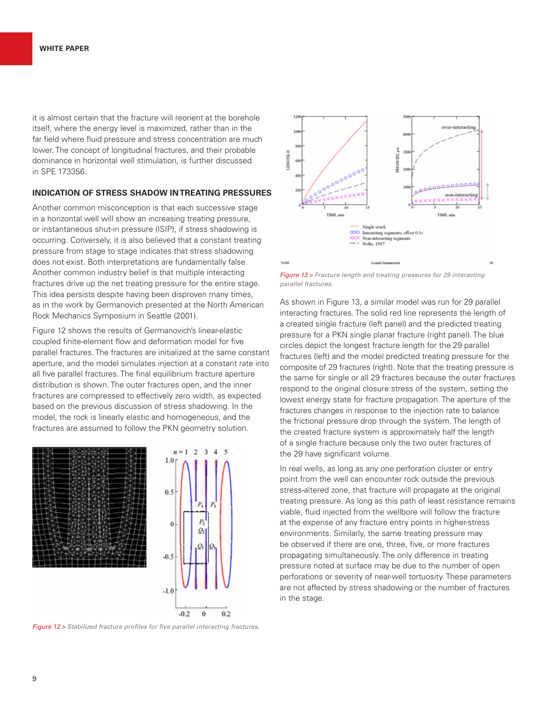it is almost certain that the fracture will reorient at the borehole itself, where the energy level is maximized, rather than in the far field where fluid pressure and stress concentration are much lower. The concept of longitudinal fractures, and their probable dominance in horizontal well stimulation, is further discussed in SPE 173356.

## **INDICATION OF STRESS SHADOW IN TREATING PRESSURES**

Another common misconception is that each successive stage in a horizontal well will show an increasing treating pressure, or instantaneous shut-in pressure (ISIP), if stress shadowing is occurring. Conversely, it is also believed that a constant treating pressure from stage to stage indicates that stress shadowing does not exist. Both interpretations are fundamentally false. Another common industry belief is that multiple interacting fractures drive up the net treating pressure for the entire stage. This idea persists despite having been disproven many times, as in the work by Germanovich presented at the North American Rock Mechanics Symposium in Seattle (2001).

Figure 12 shows the results of Germanovich's linear-elastic coupled finite-element flow and deformation model for five parallel fractures. The fractures are initialized at the same constant aperture, and the model simulates injection at a constant rate into all five parallel fractures. The final equilibrium fracture aperture distribution is shown. The outer fractures open, and the inner fractures are compressed to effectively zero width, as expected based on the previous discussion of stress shadowing. In the model, the rock is linearly elastic and homogeneous, and the fractures are assumed to follow the PKN geometry solution.





*Figure 12 > Stabilized fracture profiles for five parallel interacting fractures.*



*Figure 13 > Fracture length and treating pressures for 29 interacting parallel fractures.*

As shown in Figure 13, a similar model was run for 29 parallel interacting fractures. The solid red line represents the length of a created single fracture (left panel) and the predicted treating pressure for a PKN single planar fracture (right panel). The blue circles depict the longest fracture length for the 29 parallel fractures (left) and the model predicted treating pressure for the composite of 29 fractures (right). Note that the treating pressure is the same for single or all 29 fractures because the outer fractures respond to the original closure stress of the system, setting the lowest energy state for fracture propagation. The aperture of the fractures changes in response to the injection rate to balance the frictional pressure drop through the system. The length of the created fracture system is approximately half the length of a single fracture because only the two outer fractures of the 29 have significant volume.

In real wells, as long as any one perforation cluster or entry point from the well can encounter rock outside the previous stress-altered zone, that fracture will propagate at the original treating pressure. As long as this path of least resistance remains viable, fluid injected from the wellbore will follow the fracture at the expense of any fracture entry points in higher-stress environments. Similarly, the same treating pressure may be observed if there are one, three, five, or more fractures propagating simultaneously. The only difference in treating pressure noted at surface may be due to the number of open perforations or severity of near-well tortuosity. These parameters are not affected by stress shadowing or the number of fractures in the stage.